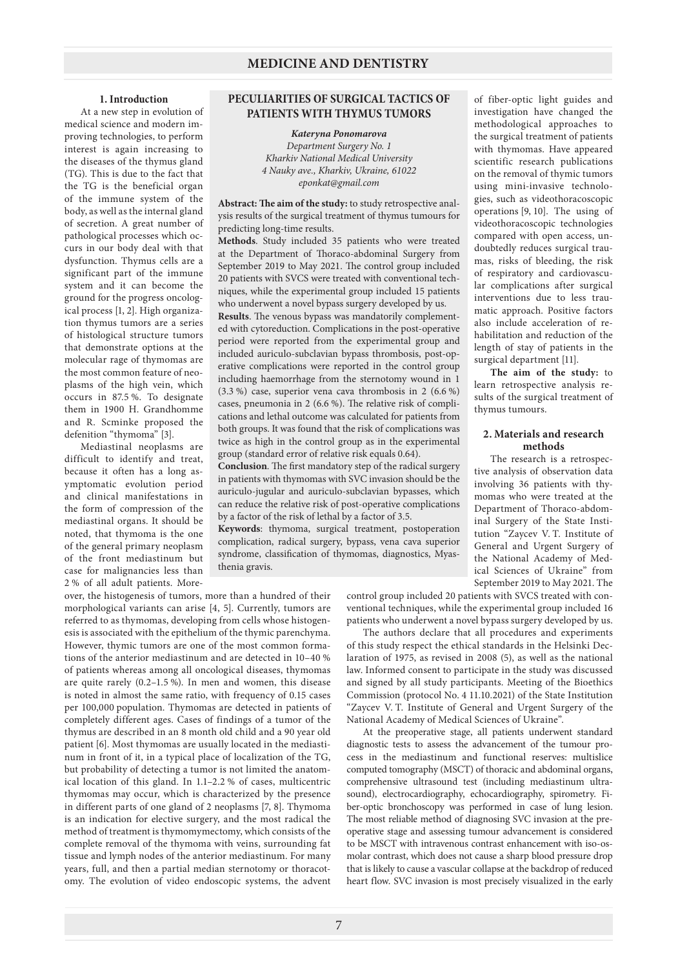## **1. Introduction**

At a new step in evolution of medical science and modern improving technologies, to perform interest is again increasing to the diseases of the thymus gland (TG). This is due to the fact that the TG is the beneficial organ of the immune system of the body, as well as the internal gland of secretion. A great number of pathological processes which occurs in our body deal with that dysfunction. Thymus cells are a significant part of the immune system and it can become the ground for the progress oncological process [1, 2]. High organization thymus tumors are a series of histological structure tumors that demonstrate options at the molecular rage of thymomas are the most common feature of neoplasms of the high vein, which occurs in 87.5 %. To designate them in 1900 H. Grandhomme and R. Scminke proposed the defenition "thymoma" [3].

Mediastinal neoplasms are difficult to identify and treat, because it often has a long asymptomatic evolution period and clinical manifestations in the form of compression of the mediastinal organs. It should be noted, that thymoma is the one of the general primary neoplasm of the front mediastinum but case for malignancies less than 2 % of all adult patients. More-

## **PECULIARITIES OF SURGICAL TACTICS OF PATIENTS WITH THYMUS TUMORS**

*Kateryna Ponomarova Department Surgery No. 1 Kharkiv National Medical University 4 Nauky ave., Kharkiv, Ukraine, 61022 eponkat@gmail.com*

**Abstract: The aim of the study:** to study retrospective analysis results of the surgical treatment of thymus tumours for predicting long-time results.

**Methods**. Study included 35 patients who were treated at the Department of Thoraco-abdominal Surgery from September 2019 to May 2021. The control group included 20 patients with SVCS were treated with conventional techniques, while the experimental group included 15 patients who underwent a novel bypass surgery developed by us.

**Results**. The venous bypass was mandatorily complemented with cytoreduction. Complications in the post-operative period were reported from the experimental group and included auriculo-subclavian bypass thrombosis, post-operative complications were reported in the control group including haemorrhage from the sternotomy wound in 1 (3.3 %) case, superior vena cava thrombosis in 2 (6.6 %) cases, pneumonia in 2 (6.6 %). The relative risk of complications and lethal outcome was calculated for patients from both groups. It was found that the risk of complications was twice as high in the control group as in the experimental group (standard error of relative risk equals 0.64).

**Conclusion**. The first mandatory step of the radical surgery in patients with thymomas with SVC invasion should be the auriculo-jugular and auriculo-subclavian bypasses, which can reduce the relative risk of post-operative complications by a factor of the risk of lethal by a factor of 3.5.

**Keywords**: thymoma, surgical treatment, postoperation complication, radical surgery, bypass, vena cava superior syndrome, classification of thymomas, diagnostics, Myasthenia gravis.

over, the histogenesis of tumors, more than a hundred of their morphological variants can arise [4, 5]. Currently, tumors are referred to as thymomas, developing from cells whose histogenesis is associated with the epithelium of the thymic parenchyma. However, thymic tumors are one of the most common formations of the anterior mediastinum and are detected in 10–40 % of patients whereas among all oncological diseases, thymomas are quite rarely (0.2–1.5 %). In men and women, this disease is noted in almost the same ratio, with frequency of 0.15 cases per 100,000 population. Thymomas are detected in patients of completely different ages. Cases of findings of a tumor of the thymus are described in an 8 month old child and a 90 year old patient [6]. Most thymomas are usually located in the mediastinum in front of it, in a typical place of localization of the TG, but probability of detecting a tumor is not limited the anatomical location of this gland. In 1.1–2.2 % of cases, multicentric thymomas may occur, which is characterized by the presence in different parts of one gland of 2 neoplasms [7, 8]. Thymoma is an indication for elective surgery, and the most radical the method of treatment is thymomymectomy, which consists of the complete removal of the thymoma with veins, surrounding fat tissue and lymph nodes of the anterior mediastinum. For many years, full, and then a partial median sternotomy or thoracotomy. The evolution of video endoscopic systems, the advent

of fiber-optic light guides and investigation have changed the methodological approaches to the surgical treatment of patients with thymomas. Have appeared scientific research publications on the removal of thymic tumors using mini-invasive technologies, such as videothoracoscopic operations [9, 10]. The using of videothoracoscopic technologies compared with open access, undoubtedly reduces surgical traumas, risks of bleeding, the risk of respiratory and cardiovascular complications after surgical interventions due to less traumatic approach. Positive factors also include acceleration of rehabilitation and reduction of the length of stay of patients in the surgical department [11].

**The aim of the study:** to learn retrospective analysis results of the surgical treatment of thymus tumours.

## **2. Materials and research methods**

The research is a retrospective analysis of observation data involving 36 patients with thymomas who were treated at the Department of Thoraco-abdominal Surgery of the State Institution "Zaycev V. T. Institute of General and Urgent Surgery of the National Academy of Medical Sciences of Ukraine" from September 2019 to May 2021. The

control group included 20 patients with SVCS treated with conventional techniques, while the experimental group included 16 patients who underwent a novel bypass surgery developed by us.

The authors declare that all procedures and experiments of this study respect the ethical standards in the Helsinki Declaration of 1975, as revised in 2008 (5), as well as the national law. Informed consent to participate in the study was discussed and signed by all study participants. Meeting of the Bioethics Commission (protocol No. 4 11.10.2021) of the State Institution "Zaycev V. T. Institute of General and Urgent Surgery of the National Academy of Medical Sciences of Ukraine".

At the preoperative stage, all patients underwent standard diagnostic tests to assess the advancement of the tumour process in the mediastinum and functional reserves: multislice computed tomography (MSCT) of thoracic and abdominal organs, comprehensive ultrasound test (including mediastinum ultrasound), electrocardiography, echocardiography, spirometry. Fiber-optic bronchoscopy was performed in case of lung lesion. The most reliable method of diagnosing SVC invasion at the preoperative stage and assessing tumour advancement is considered to be MSCT with intravenous contrast enhancement with iso-osmolar contrast, which does not cause a sharp blood pressure drop that is likely to cause a vascular collapse at the backdrop of reduced heart flow. SVC invasion is most precisely visualized in the early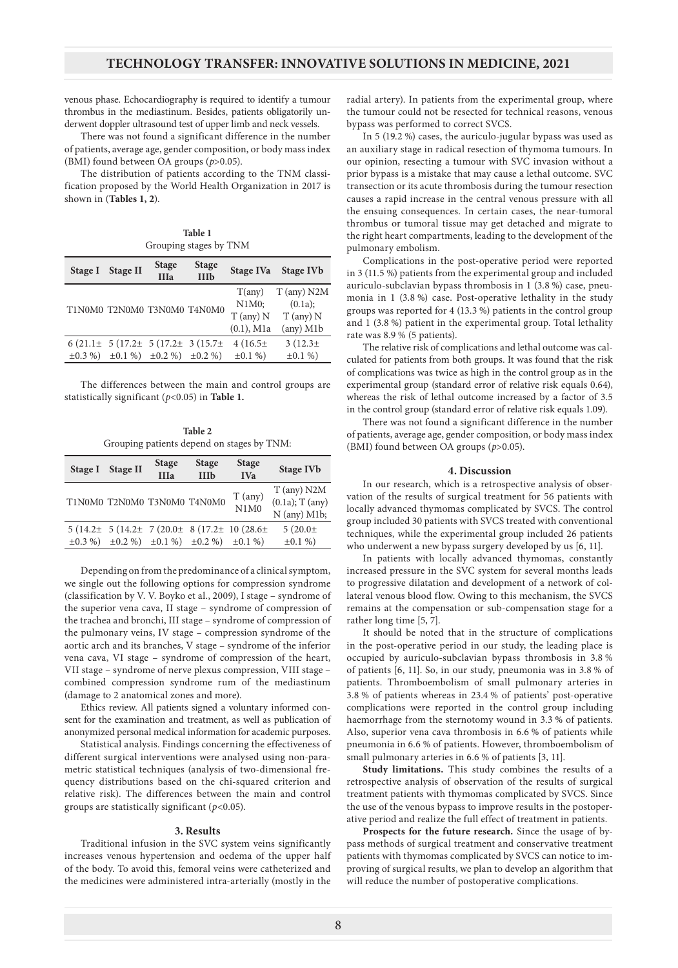venous phase. Echocardiography is required to identify a tumour thrombus in the mediastinum. Besides, patients obligatorily underwent doppler ultrasound test of upper limb and neck vessels.

There was not found a significant difference in the number of patients, average age, gender composition, or body mass index (BMI) found between ОА groups (*p*>0.05).

The distribution of patients according to the TNM classification proposed by the World Health Organization in 2017 is shown in (**Tables 1, 2**).

**Table 1** Grouping stages by TNM

| Stage I | <b>Stage II</b>                                     | <b>Stage</b><br><b>IIIa</b> | <b>Stage</b><br><b>IIIb</b> | Stage IVa     | <b>Stage IVb</b>   |
|---------|-----------------------------------------------------|-----------------------------|-----------------------------|---------------|--------------------|
|         | T1N0M0 T2N0M0 T3N0M0 T4N0M0                         |                             |                             | T(any)        | T (any) N2M        |
|         |                                                     |                             |                             | N1M0;         | (0.1a);            |
|         |                                                     |                             |                             | $T$ (any) $N$ | $T$ (any) $N$      |
|         |                                                     |                             |                             | $(0.1)$ , M1a | $(\text{any})$ M1b |
|         | $6(21.1 \pm 5(17.2 \pm 5(17.2 \pm 3(15.7 \pm$       |                             |                             | $4(16.5\pm$   | $3(12.3\pm$        |
|         | $\pm 0.3 \%$ $\pm 0.1 \%$ $\pm 0.2 \%$ $\pm 0.2 \%$ |                             |                             | $\pm 0.1 \%$  | $\pm 0.1 \%$       |

The differences between the main and control groups are statistically significant (*p*<0.05) in **Table 1.**

**Table 2** Grouping patients depend on stages by TNM:

| Stage I | <b>Stage II</b>                                                  | <b>Stage</b><br><b>IIIa</b> | <b>Stage</b><br><b>IIIb</b> | <b>Stage</b><br><b>IVa</b>                                       | <b>Stage IVb</b>                                      |
|---------|------------------------------------------------------------------|-----------------------------|-----------------------------|------------------------------------------------------------------|-------------------------------------------------------|
|         | T1N0M0 T2N0M0 T3N0M0 T4N0M0                                      |                             |                             | $T$ (any)<br>N1M0                                                | $T$ (any) N2M<br>$(0.1a)$ ; T $(any)$<br>N (any) M1b; |
|         | $\pm 0.3 \%$ $\pm 0.2 \%$ $\pm 0.1 \%$ $\pm 0.2 \%$ $\pm 0.1 \%$ |                             |                             | $5(14.2 \pm 5(14.2 \pm 7(20.0 \pm 8(17.2 \pm 10(28.6 \pm 11))))$ | $5(20.0 \pm$<br>$\pm 0.1 \%$                          |
|         |                                                                  |                             |                             |                                                                  |                                                       |

Depending on from the predominance of a clinical symptom, we single out the following options for compression syndrome (classification by V. V. Boyko et al., 2009), I stage – syndrome of the superior vena cava, II stage – syndrome of compression of the trachea and bronchi, III stage – syndrome of compression of the pulmonary veins, IV stage – compression syndrome of the aortic arch and its branches, V stage – syndrome of the inferior vena cava, VI stage – syndrome of compression of the heart, VII stage – syndrome of nerve plexus compression, VIII stage – combined compression syndrome rum of the mediastinum (damage to 2 anatomical zones and more).

Ethics review. All patients signed a voluntary informed consent for the examination and treatment, as well as publication of anonymized personal medical information for academic purposes.

Statistical analysis. Findings concerning the effectiveness of different surgical interventions were analysed using non-parametric statistical techniques (analysis of two-dimensional frequency distributions based on the chi-squared criterion and relative risk). The differences between the main and control groups are statistically significant (*p*<0.05).

### **3. Results**

Traditional infusion in the SVC system veins significantly increases venous hypertension and oedema of the upper half of the body. To avoid this, femoral veins were catheterized and the medicines were administered intra-arterially (mostly in the

radial artery). In patients from the experimental group, where the tumour could not be resected for technical reasons, venous bypass was performed to correct SVCS.

In 5 (19.2 %) cases, the auriculo-jugular bypass was used as an auxiliary stage in radical resection of thymoma tumours. In our opinion, resecting a tumour with SVC invasion without a prior bypass is a mistake that may cause a lethal outcome. SVC transection or its acute thrombosis during the tumour resection causes a rapid increase in the central venous pressure with all the ensuing consequences. In certain cases, the near-tumoral thrombus or tumoral tissue may get detached and migrate to the right heart compartments, leading to the development of the pulmonary embolism.

Complications in the post-operative period were reported in 3 (11.5 %) patients from the experimental group and included auriculo-subclavian bypass thrombosis in 1 (3.8 %) case, pneumonia in 1 (3.8 %) case. Post-operative lethality in the study groups was reported for 4 (13.3 %) patients in the control group and 1 (3.8 %) patient in the experimental group. Total lethality rate was 8.9 % (5 patients).

The relative risk of complications and lethal outcome was calculated for patients from both groups. It was found that the risk of complications was twice as high in the control group as in the experimental group (standard error of relative risk equals 0.64), whereas the risk of lethal outcome increased by a factor of 3.5 in the control group (standard error of relative risk equals 1.09).

There was not found a significant difference in the number of patients, average age, gender composition, or body mass index (BMI) found between ОА groups (*p*>0.05).

### **4. Discussion**

In our research, which is a retrospective analysis of observation of the results of surgical treatment for 56 patients with locally advanced thymomas complicated by SVCS. The control group included 30 patients with SVCS treated with conventional techniques, while the experimental group included 26 patients who underwent a new bypass surgery developed by us [6, 11].

In patients with locally advanced thymomas, constantly increased pressure in the SVC system for several months leads to progressive dilatation and development of a network of collateral venous blood flow. Owing to this mechanism, the SVCS remains at the compensation or sub-compensation stage for a rather long time [5, 7].

It should be noted that in the structure of complications in the post-operative period in our study, the leading place is occupied by auriculo-subclavian bypass thrombosis in 3.8 % of patients [6, 11]. So, in our study, pneumonia was in 3.8 % of patients. Thromboembolism of small pulmonary arteries in 3.8 % of patients whereas in 23.4 % of patients' post-operative complications were reported in the control group including haemorrhage from the sternotomy wound in 3.3 % of patients. Also, superior vena cava thrombosis in 6.6 % of patients while pneumonia in 6.6 % of patients. However, thromboembolism of small pulmonary arteries in 6.6 % of patients [3, 11].

**Study limitations.** This study combines the results of a retrospective analysis of observation of the results of surgical treatment patients with thymomas complicated by SVCS. Since the use of the venous bypass to improve results in the postoperative period and realize the full effect of treatment in patients.

**Prospects for the future research.** Since the usage of bypass methods of surgical treatment and conservative treatment patients with thymomas complicated by SVCS can notice to improving of surgical results, we plan to develop an algorithm that will reduce the number of postoperative complications.